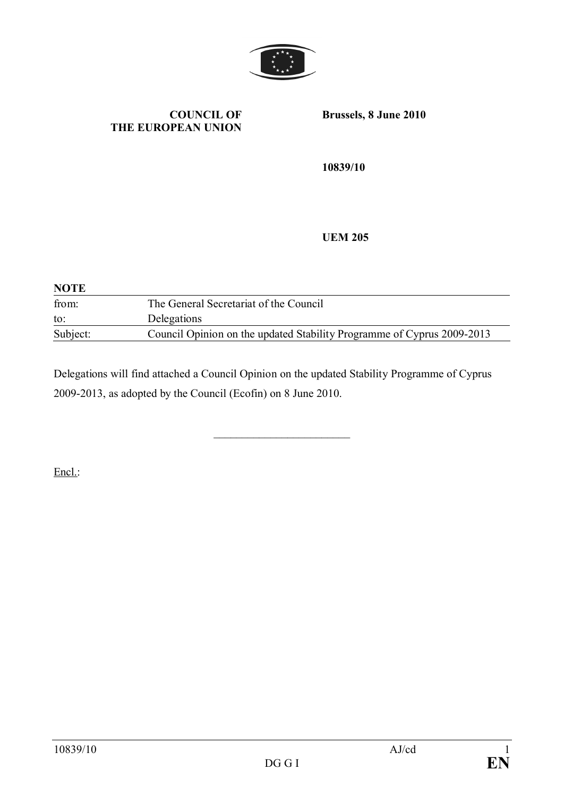

## **COUNCIL OF THE EUROPEAN UNION**

**Brussels, 8 June 2010**

**10839/10**

**UEM 205**

| <b>NOTE</b> |                                                                        |  |  |  |  |
|-------------|------------------------------------------------------------------------|--|--|--|--|
| from:       | The General Secretariat of the Council                                 |  |  |  |  |
| to:         | Delegations                                                            |  |  |  |  |
| Subject:    | Council Opinion on the updated Stability Programme of Cyprus 2009-2013 |  |  |  |  |

Delegations will find attached a Council Opinion on the updated Stability Programme of Cyprus 2009-2013, as adopted by the Council (Ecofin) on 8 June 2010.

\_\_\_\_\_\_\_\_\_\_\_\_\_\_\_\_\_\_\_\_\_\_\_\_

Encl.: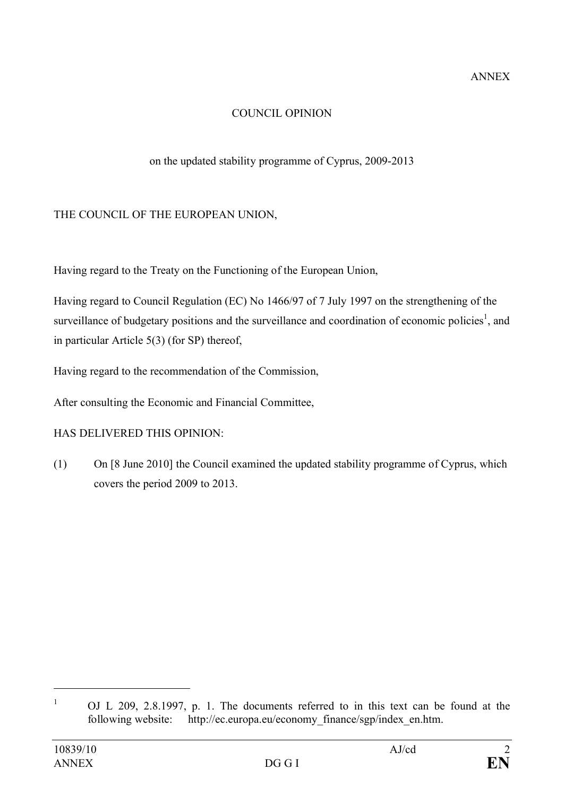# COUNCIL OPINION

# on the updated stability programme of Cyprus, 2009-2013

# THE COUNCIL OF THE EUROPEAN UNION,

Having regard to the Treaty on the Functioning of the European Union,

Having regard to Council Regulation (EC) No 1466/97 of 7 July 1997 on the strengthening of the surveillance of budgetary positions and the surveillance and coordination of economic policies<sup>1</sup>, and in particular Article 5(3) (for SP) thereof,

Having regard to the recommendation of the Commission,

After consulting the Economic and Financial Committee,

## HAS DELIVERED THIS OPINION:

(1) On [8 June 2010] the Council examined the updated stability programme of Cyprus, which covers the period 2009 to 2013.

<sup>&</sup>lt;sup>1</sup> OJ L 209, 2.8.1997, p. 1. The documents referred to in this text can be found at the following website: http://ec.europa.eu/economy\_finance/sgp/index\_en.htm.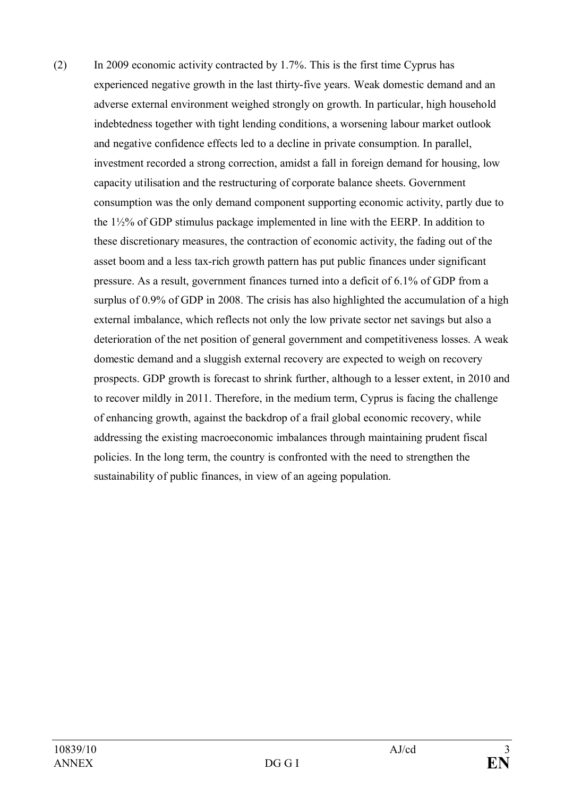(2) In 2009 economic activity contracted by 1.7%. This is the first time Cyprus has experienced negative growth in the last thirty-five years. Weak domestic demand and an adverse external environment weighed strongly on growth. In particular, high household indebtedness together with tight lending conditions, a worsening labour market outlook and negative confidence effects led to a decline in private consumption. In parallel, investment recorded a strong correction, amidst a fall in foreign demand for housing, low capacity utilisation and the restructuring of corporate balance sheets. Government consumption was the only demand component supporting economic activity, partly due to the 1½% of GDP stimulus package implemented in line with the EERP. In addition to these discretionary measures, the contraction of economic activity, the fading out of the asset boom and a less tax-rich growth pattern has put public finances under significant pressure. As a result, government finances turned into a deficit of 6.1% of GDP from a surplus of 0.9% of GDP in 2008. The crisis has also highlighted the accumulation of a high external imbalance, which reflects not only the low private sector net savings but also a deterioration of the net position of general government and competitiveness losses. A weak domestic demand and a sluggish external recovery are expected to weigh on recovery prospects. GDP growth is forecast to shrink further, although to a lesser extent, in 2010 and to recover mildly in 2011. Therefore, in the medium term, Cyprus is facing the challenge of enhancing growth, against the backdrop of a frail global economic recovery, while addressing the existing macroeconomic imbalances through maintaining prudent fiscal policies. In the long term, the country is confronted with the need to strengthen the sustainability of public finances, in view of an ageing population.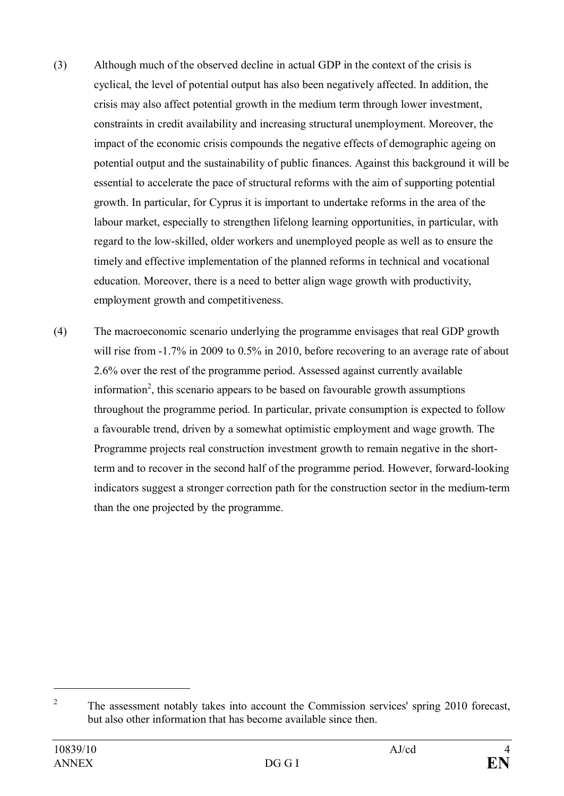- (3) Although much of the observed decline in actual GDP in the context of the crisis is cyclical, the level of potential output has also been negatively affected. In addition, the crisis may also affect potential growth in the medium term through lower investment, constraints in credit availability and increasing structural unemployment. Moreover, the impact of the economic crisis compounds the negative effects of demographic ageing on potential output and the sustainability of public finances. Against this background it will be essential to accelerate the pace of structural reforms with the aim of supporting potential growth. In particular, for Cyprus it is important to undertake reforms in the area of the labour market, especially to strengthen lifelong learning opportunities, in particular, with regard to the low-skilled, older workers and unemployed people as well as to ensure the timely and effective implementation of the planned reforms in technical and vocational education. Moreover, there is a need to better align wage growth with productivity, employment growth and competitiveness.
- (4) The macroeconomic scenario underlying the programme envisages that real GDP growth will rise from  $-1.7\%$  in 2009 to 0.5% in 2010, before recovering to an average rate of about 2.6% over the rest of the programme period. Assessed against currently available information 2 , this scenario appears to be based on favourable growth assumptions throughout the programme period. In particular, private consumption is expected to follow a favourable trend, driven by a somewhat optimistic employment and wage growth. The Programme projects real construction investment growth to remain negative in the shortterm and to recover in the second half of the programme period. However, forward-looking indicators suggest a stronger correction path for the construction sector in the medium-term than the one projected by the programme.

<sup>2</sup> The assessment notably takes into account the Commission services' spring 2010 forecast, but also other information that has become available since then.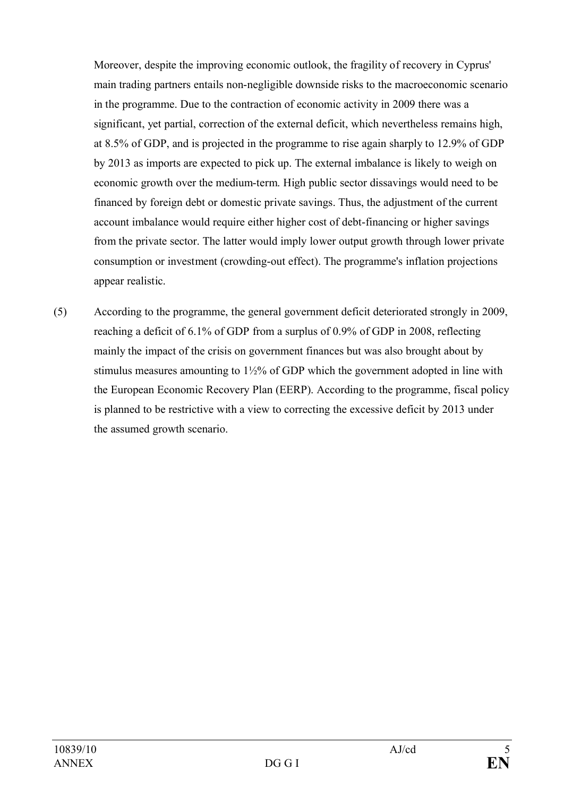Moreover, despite the improving economic outlook, the fragility of recovery in Cyprus' main trading partners entails non-negligible downside risks to the macroeconomic scenario in the programme. Due to the contraction of economic activity in 2009 there was a significant, yet partial, correction of the external deficit, which nevertheless remains high, at 8.5% of GDP, and is projected in the programme to rise again sharply to 12.9% of GDP by 2013 as imports are expected to pick up. The external imbalance is likely to weigh on economic growth over the medium-term. High public sector dissavings would need to be financed by foreign debt or domestic private savings. Thus, the adjustment of the current account imbalance would require either higher cost of debt-financing or higher savings from the private sector. The latter would imply lower output growth through lower private consumption or investment (crowding-out effect). The programme's inflation projections appear realistic.

(5) According to the programme, the general government deficit deteriorated strongly in 2009, reaching a deficit of 6.1% of GDP from a surplus of 0.9% of GDP in 2008, reflecting mainly the impact of the crisis on government finances but was also brought about by stimulus measures amounting to 1½% of GDP which the government adopted in line with the European Economic Recovery Plan (EERP). According to the programme, fiscal policy is planned to be restrictive with a view to correcting the excessive deficit by 2013 under the assumed growth scenario.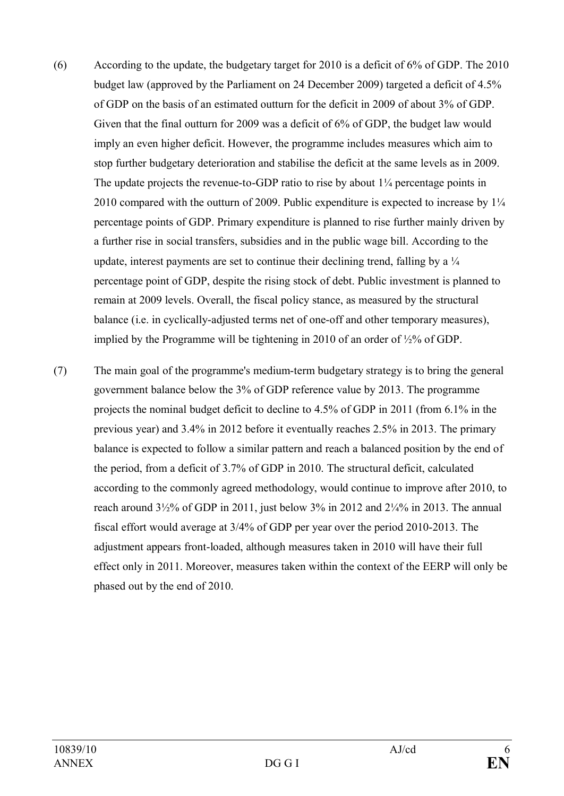- (6) According to the update, the budgetary target for 2010 is a deficit of 6% of GDP. The 2010 budget law (approved by the Parliament on 24 December 2009) targeted a deficit of 4.5% of GDP on the basis of an estimated outturn for the deficit in 2009 of about 3% of GDP. Given that the final outturn for 2009 was a deficit of 6% of GDP, the budget law would imply an even higher deficit. However, the programme includes measures which aim to stop further budgetary deterioration and stabilise the deficit at the same levels as in 2009. The update projects the revenue-to-GDP ratio to rise by about 1¼ percentage points in 2010 compared with the outturn of 2009. Public expenditure is expected to increase by 1¼ percentage points of GDP. Primary expenditure is planned to rise further mainly driven by a further rise in social transfers, subsidies and in the public wage bill. According to the update, interest payments are set to continue their declining trend, falling by a  $\frac{1}{4}$ percentage point of GDP, despite the rising stock of debt. Public investment is planned to remain at 2009 levels. Overall, the fiscal policy stance, as measured by the structural balance (i.e. in cyclically-adjusted terms net of one-off and other temporary measures), implied by the Programme will be tightening in 2010 of an order of ½% of GDP.
- (7) The main goal of the programme's medium-term budgetary strategy is to bring the general government balance below the 3% of GDP reference value by 2013. The programme projects the nominal budget deficit to decline to 4.5% of GDP in 2011 (from 6.1% in the previous year) and 3.4% in 2012 before it eventually reaches 2.5% in 2013. The primary balance is expected to follow a similar pattern and reach a balanced position by the end of the period, from a deficit of 3.7% of GDP in 2010. The structural deficit, calculated according to the commonly agreed methodology, would continue to improve after 2010, to reach around  $3\frac{1}{2}\%$  of GDP in 2011, just below 3% in 2012 and  $2\frac{1}{4}\%$  in 2013. The annual fiscal effort would average at 3/4% of GDP per year over the period 2010-2013. The adjustment appears front-loaded, although measures taken in 2010 will have their full effect only in 2011. Moreover, measures taken within the context of the EERP will only be phased out by the end of 2010.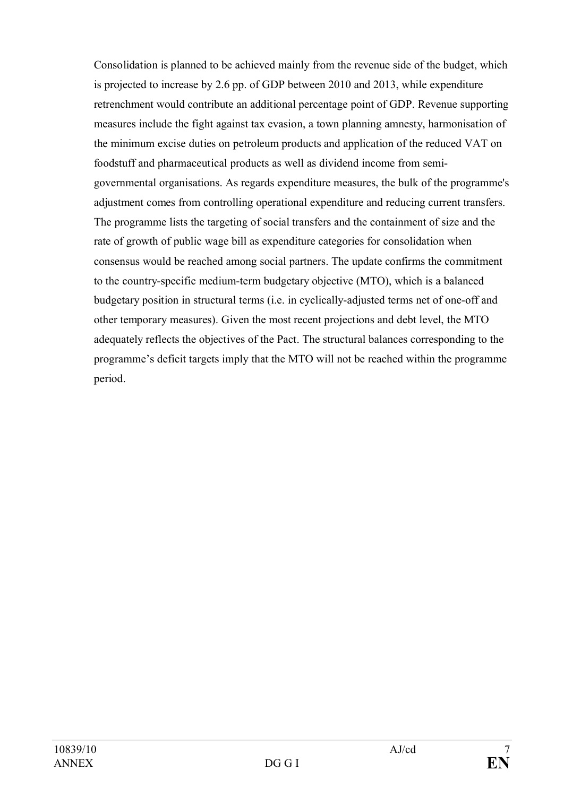Consolidation is planned to be achieved mainly from the revenue side of the budget, which is projected to increase by 2.6 pp. of GDP between 2010 and 2013, while expenditure retrenchment would contribute an additional percentage point of GDP. Revenue supporting measures include the fight against tax evasion, a town planning amnesty, harmonisation of the minimum excise duties on petroleum products and application of the reduced VAT on foodstuff and pharmaceutical products as well as dividend income from semigovernmental organisations. As regards expenditure measures, the bulk of the programme's adjustment comes from controlling operational expenditure and reducing current transfers. The programme lists the targeting of social transfers and the containment of size and the rate of growth of public wage bill as expenditure categories for consolidation when consensus would be reached among social partners. The update confirms the commitment to the country-specific medium-term budgetary objective (MTO), which is a balanced budgetary position in structural terms (i.e. in cyclically-adjusted terms net of one-off and other temporary measures). Given the most recent projections and debt level, the MTO adequately reflects the objectives of the Pact. The structural balances corresponding to the programme's deficit targets imply that the MTO will not be reached within the programme period.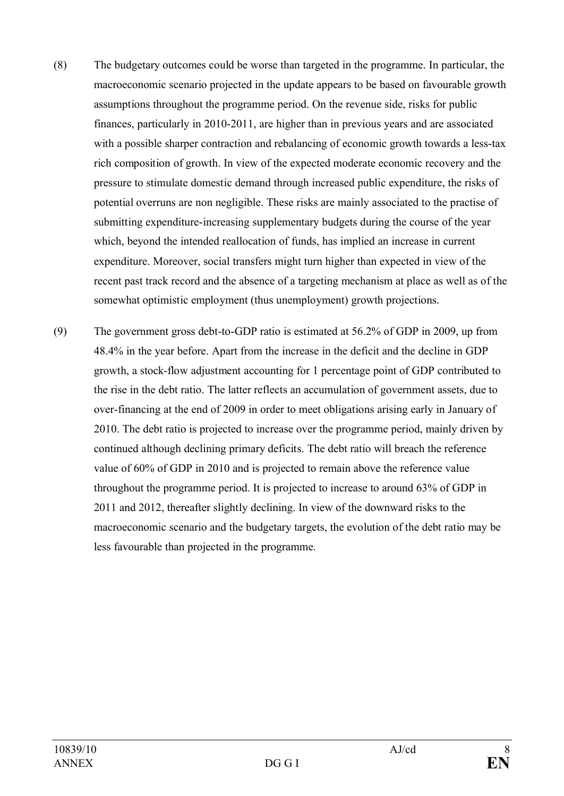- (8) The budgetary outcomes could be worse than targeted in the programme. In particular, the macroeconomic scenario projected in the update appears to be based on favourable growth assumptions throughout the programme period. On the revenue side, risks for public finances, particularly in 2010-2011, are higher than in previous years and are associated with a possible sharper contraction and rebalancing of economic growth towards a less-tax rich composition of growth. In view of the expected moderate economic recovery and the pressure to stimulate domestic demand through increased public expenditure, the risks of potential overruns are non negligible. These risks are mainly associated to the practise of submitting expenditure-increasing supplementary budgets during the course of the year which, beyond the intended reallocation of funds, has implied an increase in current expenditure. Moreover, social transfers might turn higher than expected in view of the recent past track record and the absence of a targeting mechanism at place as well as of the somewhat optimistic employment (thus unemployment) growth projections.
- (9) The government gross debt-to-GDP ratio is estimated at 56.2% of GDP in 2009, up from 48.4% in the year before. Apart from the increase in the deficit and the decline in GDP growth, a stock-flow adjustment accounting for 1 percentage point of GDP contributed to the rise in the debt ratio. The latter reflects an accumulation of government assets, due to over-financing at the end of 2009 in order to meet obligations arising early in January of 2010. The debt ratio is projected to increase over the programme period, mainly driven by continued although declining primary deficits. The debt ratio will breach the reference value of 60% of GDP in 2010 and is projected to remain above the reference value throughout the programme period. It is projected to increase to around 63% of GDP in 2011 and 2012, thereafter slightly declining. In view of the downward risks to the macroeconomic scenario and the budgetary targets, the evolution of the debt ratio may be less favourable than projected in the programme.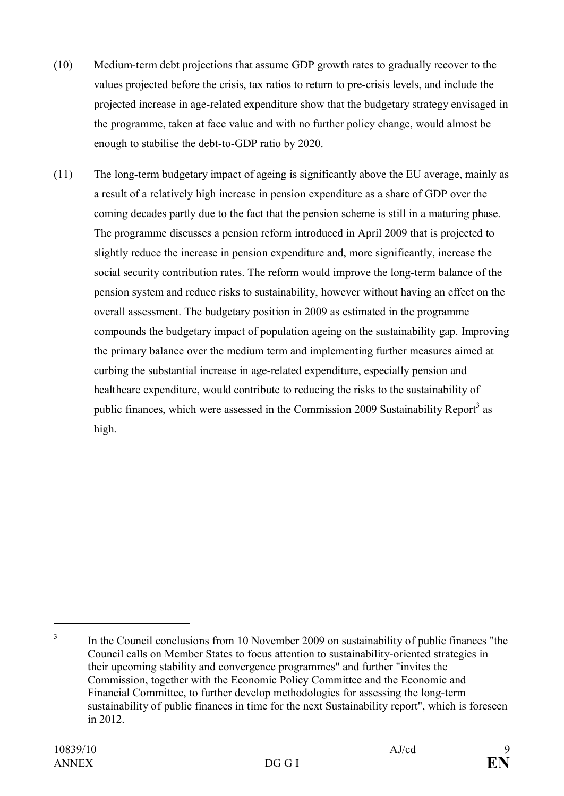- (10) Medium-term debt projections that assume GDP growth rates to gradually recover to the values projected before the crisis, tax ratios to return to pre-crisis levels, and include the projected increase in age-related expenditure show that the budgetary strategy envisaged in the programme, taken at face value and with no further policy change, would almost be enough to stabilise the debt-to-GDP ratio by 2020.
- (11) The long-term budgetary impact of ageing is significantly above the EU average, mainly as a result of a relatively high increase in pension expenditure as a share of GDP over the coming decades partly due to the fact that the pension scheme is still in a maturing phase. The programme discusses a pension reform introduced in April 2009 that is projected to slightly reduce the increase in pension expenditure and, more significantly, increase the social security contribution rates. The reform would improve the long-term balance of the pension system and reduce risks to sustainability, however without having an effect on the overall assessment. The budgetary position in 2009 as estimated in the programme compounds the budgetary impact of population ageing on the sustainability gap. Improving the primary balance over the medium term and implementing further measures aimed at curbing the substantial increase in age-related expenditure, especially pension and healthcare expenditure, would contribute to reducing the risks to the sustainability of public finances, which were assessed in the Commission 2009 Sustainability Report<sup>3</sup> as high.

<sup>3</sup> In the Council conclusions from 10 November 2009 on sustainability of public finances "the Council calls on Member States to focus attention to sustainability-oriented strategies in their upcoming stability and convergence programmes" and further "invites the Commission, together with the Economic Policy Committee and the Economic and Financial Committee, to further develop methodologies for assessing the long-term sustainability of public finances in time for the next Sustainability report", which is foreseen in 2012.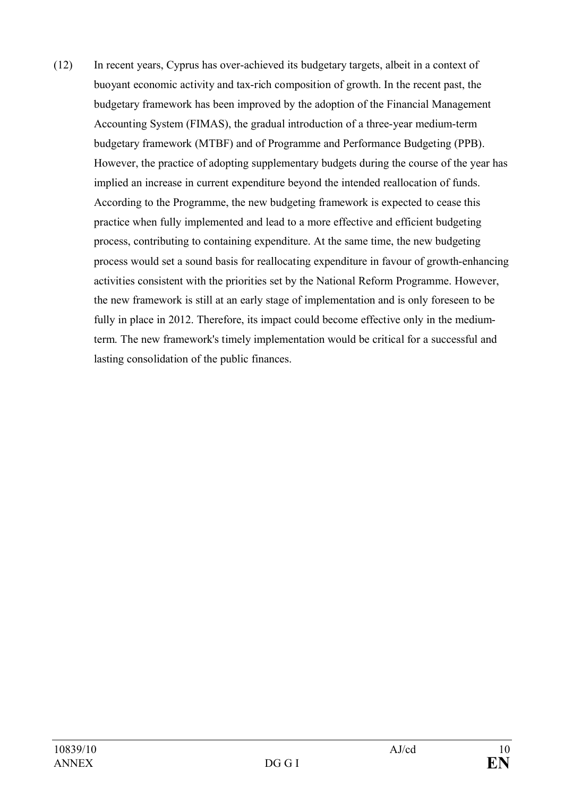(12) In recent years, Cyprus has over-achieved its budgetary targets, albeit in a context of buoyant economic activity and tax-rich composition of growth. In the recent past, the budgetary framework has been improved by the adoption of the Financial Management Accounting System (FIMAS), the gradual introduction of a three-year medium-term budgetary framework (MTBF) and of Programme and Performance Budgeting (PPB). However, the practice of adopting supplementary budgets during the course of the year has implied an increase in current expenditure beyond the intended reallocation of funds. According to the Programme, the new budgeting framework is expected to cease this practice when fully implemented and lead to a more effective and efficient budgeting process, contributing to containing expenditure. At the same time, the new budgeting process would set a sound basis for reallocating expenditure in favour of growth-enhancing activities consistent with the priorities set by the National Reform Programme. However, the new framework is still at an early stage of implementation and is only foreseen to be fully in place in 2012. Therefore, its impact could become effective only in the mediumterm. The new framework's timely implementation would be critical for a successful and lasting consolidation of the public finances.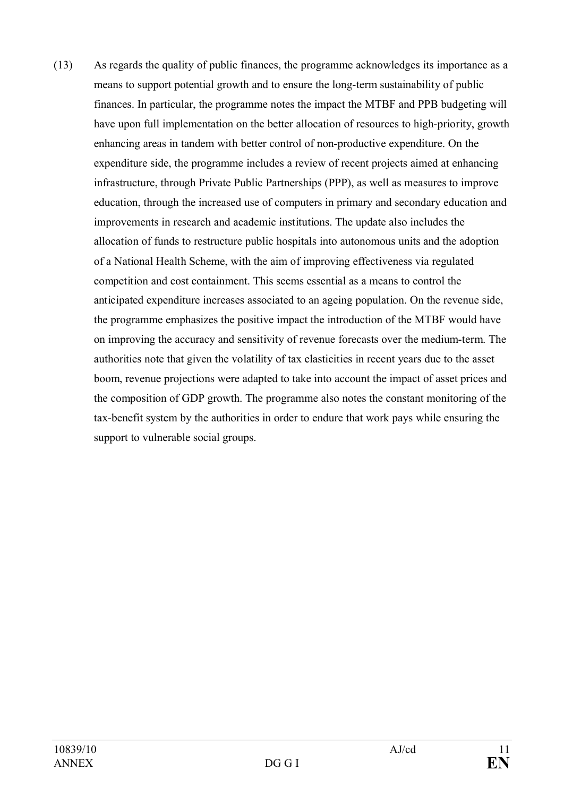(13) As regards the quality of public finances, the programme acknowledges its importance as a means to support potential growth and to ensure the long-term sustainability of public finances. In particular, the programme notes the impact the MTBF and PPB budgeting will have upon full implementation on the better allocation of resources to high-priority, growth enhancing areas in tandem with better control of non-productive expenditure. On the expenditure side, the programme includes a review of recent projects aimed at enhancing infrastructure, through Private Public Partnerships (PPP), as well as measures to improve education, through the increased use of computers in primary and secondary education and improvements in research and academic institutions. The update also includes the allocation of funds to restructure public hospitals into autonomous units and the adoption of a National Health Scheme, with the aim of improving effectiveness via regulated competition and cost containment. This seems essential as a means to control the anticipated expenditure increases associated to an ageing population. On the revenue side, the programme emphasizes the positive impact the introduction of the MTBF would have on improving the accuracy and sensitivity of revenue forecasts over the medium-term. The authorities note that given the volatility of tax elasticities in recent years due to the asset boom, revenue projections were adapted to take into account the impact of asset prices and the composition of GDP growth. The programme also notes the constant monitoring of the tax-benefit system by the authorities in order to endure that work pays while ensuring the support to vulnerable social groups.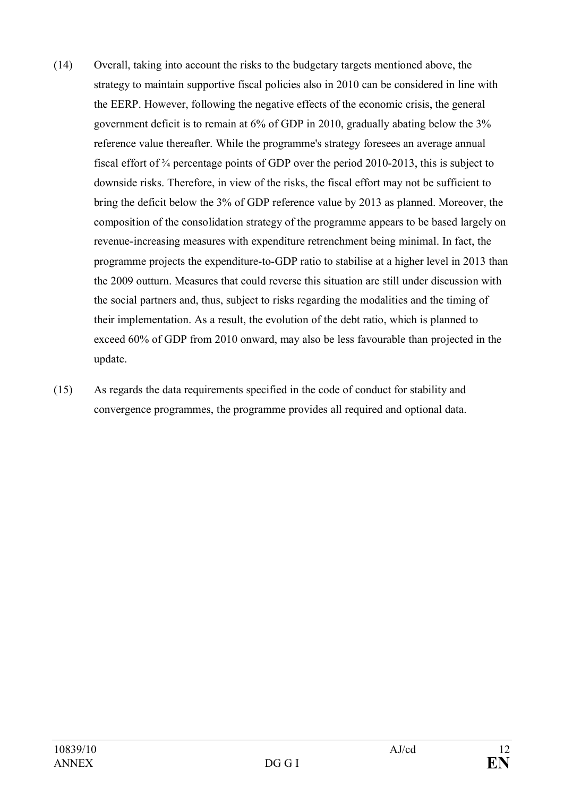- (14) Overall, taking into account the risks to the budgetary targets mentioned above, the strategy to maintain supportive fiscal policies also in 2010 can be considered in line with the EERP. However, following the negative effects of the economic crisis, the general government deficit is to remain at 6% of GDP in 2010, gradually abating below the 3% reference value thereafter. While the programme's strategy foresees an average annual fiscal effort of ¾ percentage points of GDP over the period 2010-2013, this is subject to downside risks. Therefore, in view of the risks, the fiscal effort may not be sufficient to bring the deficit below the 3% of GDP reference value by 2013 as planned. Moreover, the composition of the consolidation strategy of the programme appears to be based largely on revenue-increasing measures with expenditure retrenchment being minimal. In fact, the programme projects the expenditure-to-GDP ratio to stabilise at a higher level in 2013 than the 2009 outturn. Measures that could reverse this situation are still under discussion with the social partners and, thus, subject to risks regarding the modalities and the timing of their implementation. As a result, the evolution of the debt ratio, which is planned to exceed 60% of GDP from 2010 onward, may also be less favourable than projected in the update.
- (15) As regards the data requirements specified in the code of conduct for stability and convergence programmes, the programme provides all required and optional data.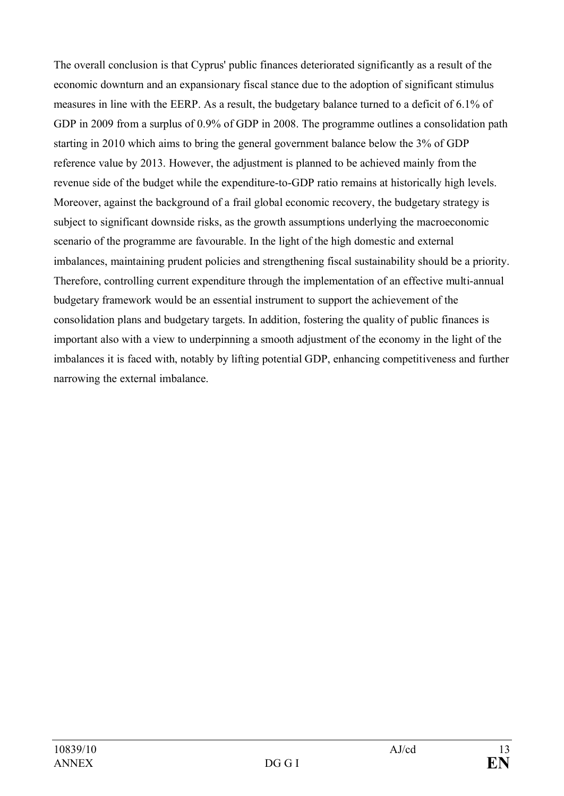The overall conclusion is that Cyprus' public finances deteriorated significantly as a result of the economic downturn and an expansionary fiscal stance due to the adoption of significant stimulus measures in line with the EERP. As a result, the budgetary balance turned to a deficit of 6.1% of GDP in 2009 from a surplus of 0.9% of GDP in 2008. The programme outlines a consolidation path starting in 2010 which aims to bring the general government balance below the 3% of GDP reference value by 2013. However, the adjustment is planned to be achieved mainly from the revenue side of the budget while the expenditure-to-GDP ratio remains at historically high levels. Moreover, against the background of a frail global economic recovery, the budgetary strategy is subject to significant downside risks, as the growth assumptions underlying the macroeconomic scenario of the programme are favourable. In the light of the high domestic and external imbalances, maintaining prudent policies and strengthening fiscal sustainability should be a priority. Therefore, controlling current expenditure through the implementation of an effective multi-annual budgetary framework would be an essential instrument to support the achievement of the consolidation plans and budgetary targets. In addition, fostering the quality of public finances is important also with a view to underpinning a smooth adjustment of the economy in the light of the imbalances it is faced with, notably by lifting potential GDP, enhancing competitiveness and further narrowing the external imbalance.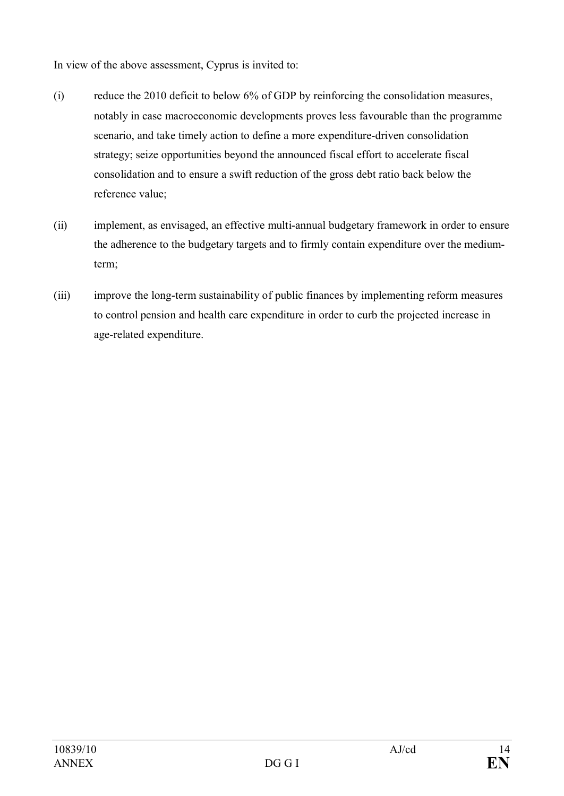In view of the above assessment, Cyprus is invited to:

- (i) reduce the 2010 deficit to below 6% of GDP by reinforcing the consolidation measures, notably in case macroeconomic developments proves less favourable than the programme scenario, and take timely action to define a more expenditure-driven consolidation strategy; seize opportunities beyond the announced fiscal effort to accelerate fiscal consolidation and to ensure a swift reduction of the gross debt ratio back below the reference value;
- (ii) implement, as envisaged, an effective multi-annual budgetary framework in order to ensure the adherence to the budgetary targets and to firmly contain expenditure over the mediumterm;
- (iii) improve the long-term sustainability of public finances by implementing reform measures to control pension and health care expenditure in order to curb the projected increase in age-related expenditure.